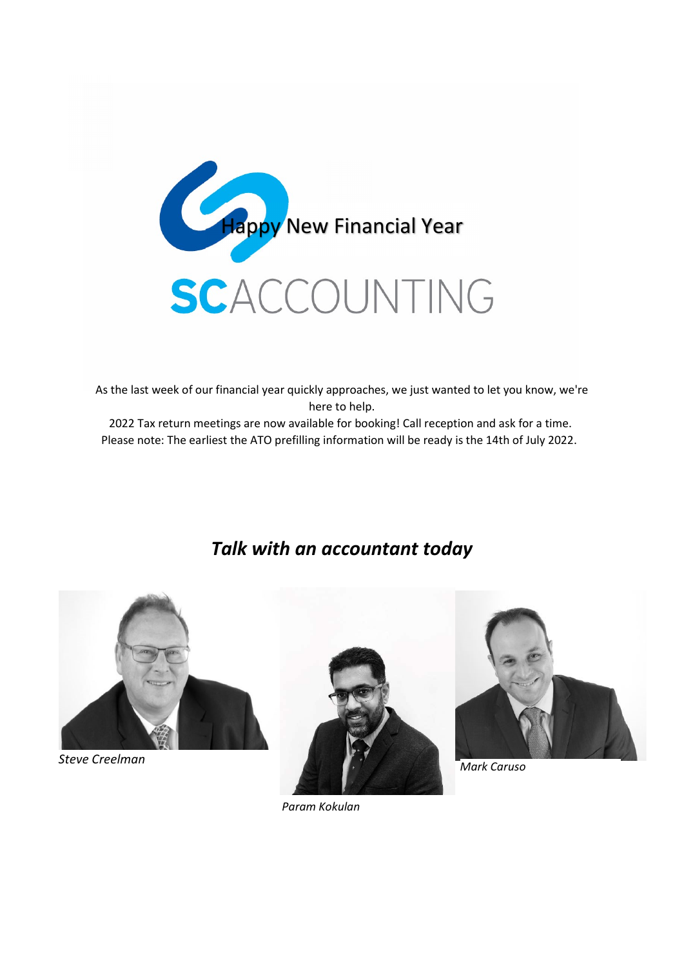

As the last week of our financial year quickly approaches, we just wanted to let you know, we're here to help.

2022 Tax return meetings are now available for booking! Call reception and ask for a time. Please note: The earliest the ATO prefilling information will be ready is the 14th of July 2022.

## Talk with an accountant today



Steve Creelman





Mark Caruso

Param Kokulan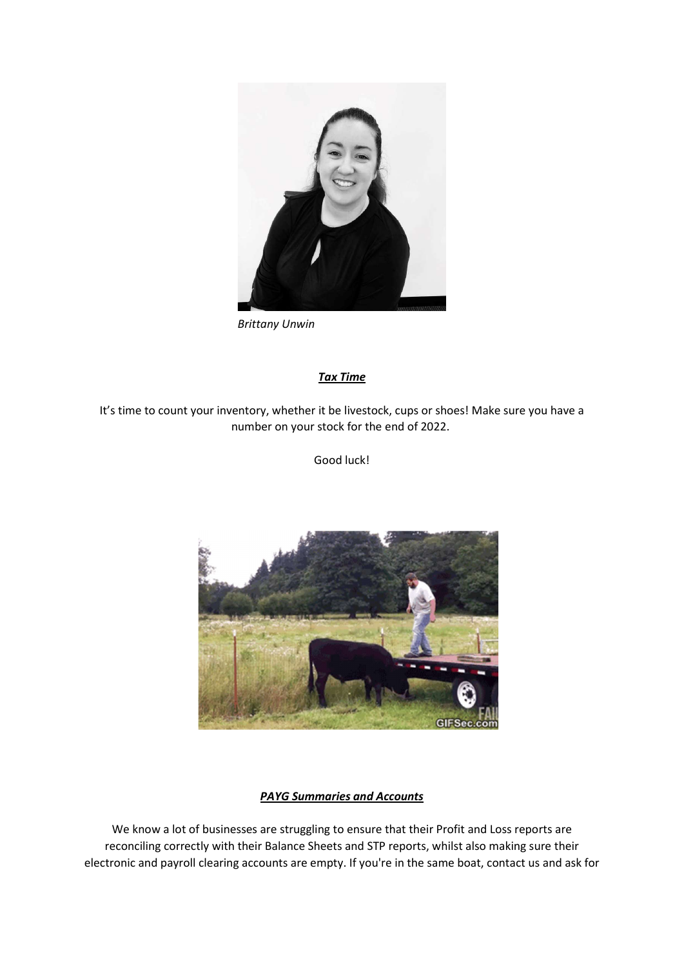

Brittany Unwin

## Tax Time

It's time to count your inventory, whether it be livestock, cups or shoes! Make sure you have a number on your stock for the end of 2022.

Good luck!



## PAYG Summaries and Accounts

We know a lot of businesses are struggling to ensure that their Profit and Loss reports are reconciling correctly with their Balance Sheets and STP reports, whilst also making sure their electronic and payroll clearing accounts are empty. If you're in the same boat, contact us and ask for